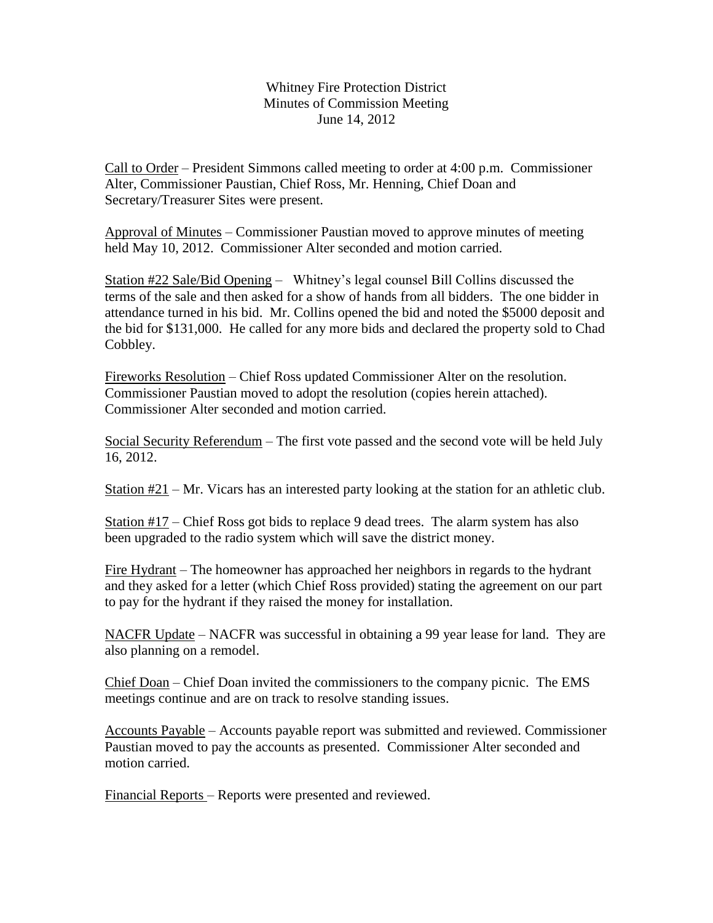Whitney Fire Protection District Minutes of Commission Meeting June 14, 2012

Call to Order – President Simmons called meeting to order at 4:00 p.m. Commissioner Alter, Commissioner Paustian, Chief Ross, Mr. Henning, Chief Doan and Secretary/Treasurer Sites were present.

Approval of Minutes – Commissioner Paustian moved to approve minutes of meeting held May 10, 2012. Commissioner Alter seconded and motion carried.

Station #22 Sale/Bid Opening – Whitney's legal counsel Bill Collins discussed the terms of the sale and then asked for a show of hands from all bidders. The one bidder in attendance turned in his bid. Mr. Collins opened the bid and noted the \$5000 deposit and the bid for \$131,000. He called for any more bids and declared the property sold to Chad Cobbley.

Fireworks Resolution – Chief Ross updated Commissioner Alter on the resolution. Commissioner Paustian moved to adopt the resolution (copies herein attached). Commissioner Alter seconded and motion carried.

Social Security Referendum – The first vote passed and the second vote will be held July 16, 2012.

Station #21 – Mr. Vicars has an interested party looking at the station for an athletic club.

Station #17 – Chief Ross got bids to replace 9 dead trees. The alarm system has also been upgraded to the radio system which will save the district money.

Fire Hydrant – The homeowner has approached her neighbors in regards to the hydrant and they asked for a letter (which Chief Ross provided) stating the agreement on our part to pay for the hydrant if they raised the money for installation.

NACFR Update – NACFR was successful in obtaining a 99 year lease for land. They are also planning on a remodel.

Chief Doan – Chief Doan invited the commissioners to the company picnic. The EMS meetings continue and are on track to resolve standing issues.

Accounts Payable – Accounts payable report was submitted and reviewed. Commissioner Paustian moved to pay the accounts as presented. Commissioner Alter seconded and motion carried.

Financial Reports – Reports were presented and reviewed.